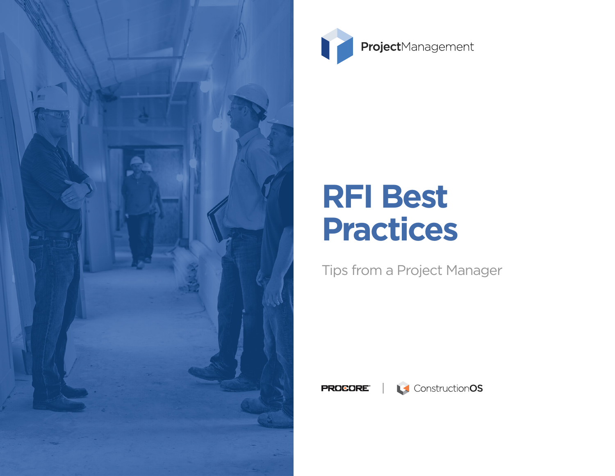



# **RFI Best Practices**

# Tips from a Project Manager

**PROCORE®** 

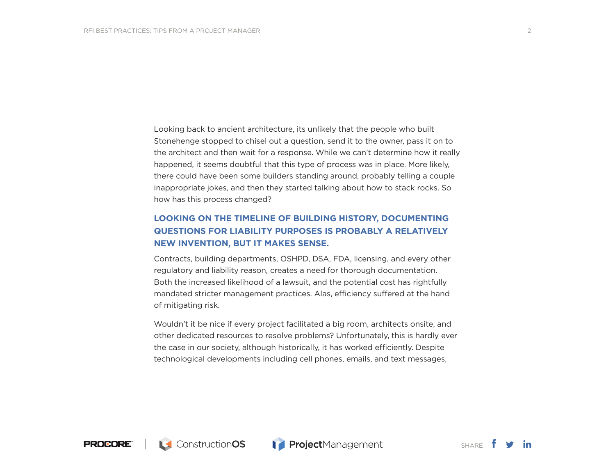Looking back to ancient architecture, its unlikely that the people who built Stonehenge stopped to chisel out a question, send it to the owner, pass it on to the architect and then wait for a response. While we can't determine how it really happened, it seems doubtful that this type of process was in place. More likely, there could have been some builders standing around, probably telling a couple inappropriate jokes, and then they started talking about how to stack rocks. So how has this process changed?

### **LOOKING ON THE TIMELINE OF BUILDING HISTORY, DOCUMENTING QUESTIONS FOR LIABILITY PURPOSES IS PROBABLY A RELATIVELY NEW INVENTION, BUT IT MAKES SENSE.**

Contracts, building departments, OSHPD, DSA, FDA, licensing, and every other regulatory and liability reason, creates a need for thorough documentation. Both the increased likelihood of a lawsuit, and the potential cost has rightfully mandated stricter management practices. Alas, efficiency suffered at the hand of mitigating risk.

Wouldn't it be nice if every project facilitated a big room, architects onsite, and other dedicated resources to resolve problems? Unfortunately, this is hardly ever the case in our society, although historically, it has worked efficiently. Despite technological developments including cell phones, emails, and text messages,

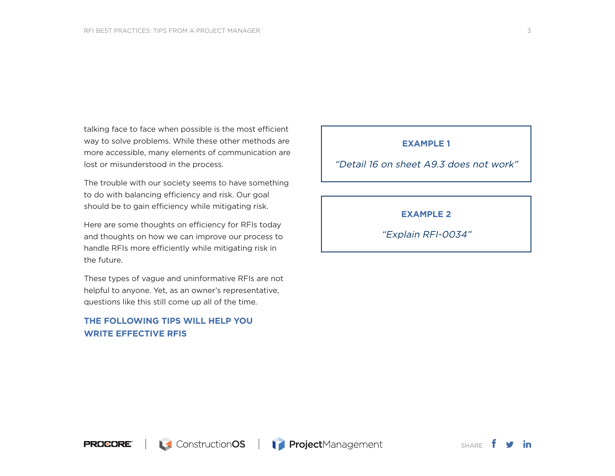talking face to face when possible is the most efficient way to solve problems. While these other methods are more accessible, many elements of communication are lost or misunderstood in the process.

The trouble with our society seems to have something to do with balancing efficiency and risk. Our goal should be to gain efficiency while mitigating risk.

Here are some thoughts on efficiency for RFIs today and thoughts on how we can improve our process to handle RFIs more efficiently while mitigating risk in the future.

These types of vague and uninformative RFIs are not helpful to anyone. Yet, as an owner's representative, questions like this still come up all of the time.

### **THE FOLLOWING TIPS WILL HELP YOU WRITE EFFECTIVE RFIS**

#### **EXAMPLE 1**

"Detail 16 on sheet A9.3 does not work"

**EXAMPLE 2**

"Explain RFI-0034"

3

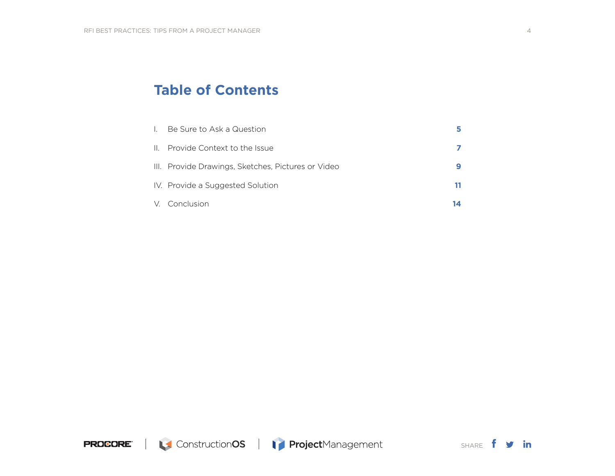## **Table of Contents**

| $\mathbf{L}$ | Be Sure to Ask a Question                          |    |
|--------------|----------------------------------------------------|----|
|              | II. Provide Context to the Issue                   |    |
|              | III. Provide Drawings, Sketches, Pictures or Video |    |
|              | IV. Provide a Suggested Solution                   | 11 |
|              | V. Conclusion                                      |    |

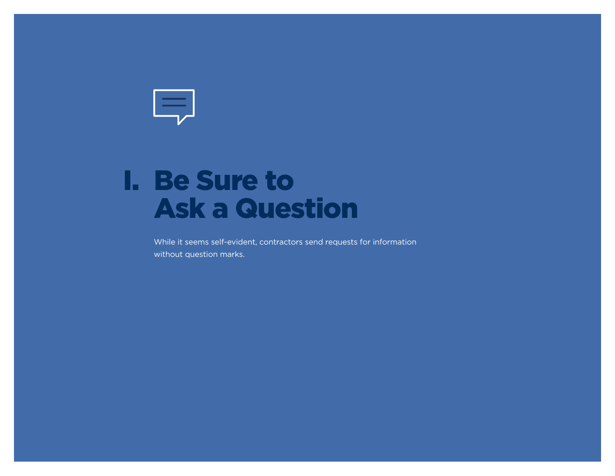<span id="page-4-0"></span>

# Be Sure to I.Ask a Question

While it seems self-evident, contractors send requests for information without question marks.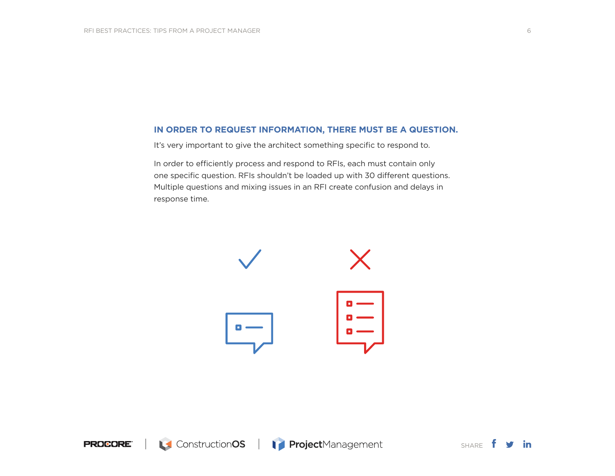#### **IN ORDER TO REQUEST INFORMATION, THERE MUST BE A QUESTION.**

It's very important to give the architect something specific to respond to.

In order to efficiently process and respond to RFIs, each must contain only one specific question. RFIs shouldn't be loaded up with 30 different questions. Multiple questions and mixing issues in an RFI create confusion and delays in response time.





SHARE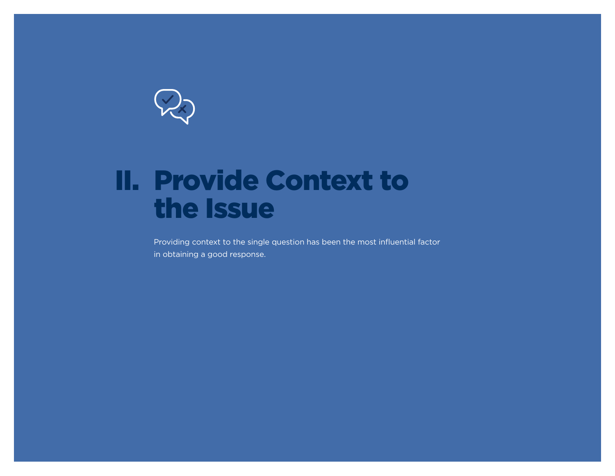<span id="page-6-0"></span>

# II. Provide Context to the Issue

Providing context to the single question has been the most influential factor in obtaining a good response.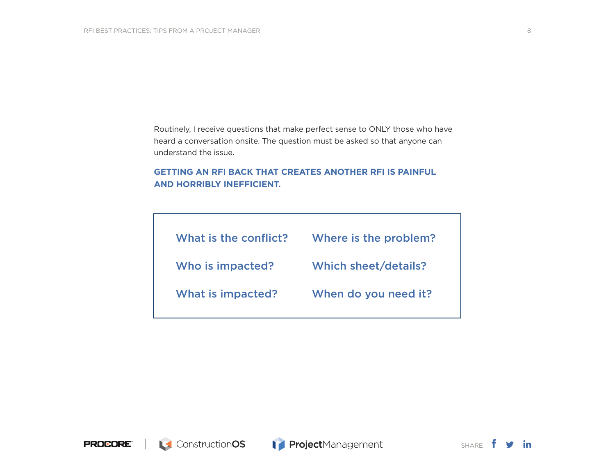Routinely, I receive questions that make perfect sense to ONLY those who have heard a conversation onsite. The question must be asked so that anyone can understand the issue.

### **GETTING AN RFI BACK THAT CREATES ANOTHER RFI IS PAINFUL AND HORRIBLY INEFFICIENT.**

| What is the conflict? | Where is the problem?       |
|-----------------------|-----------------------------|
| Who is impacted?      | <b>Which sheet/details?</b> |
| What is impacted?     | When do you need it?        |
|                       |                             |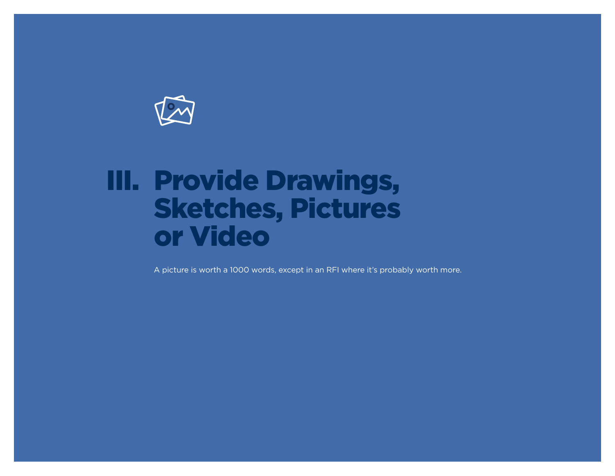<span id="page-8-0"></span>

# III. Provide Drawings, Sketches, Pictures or Video

A picture is worth a 1000 words, except in an RFI where it's probably worth more.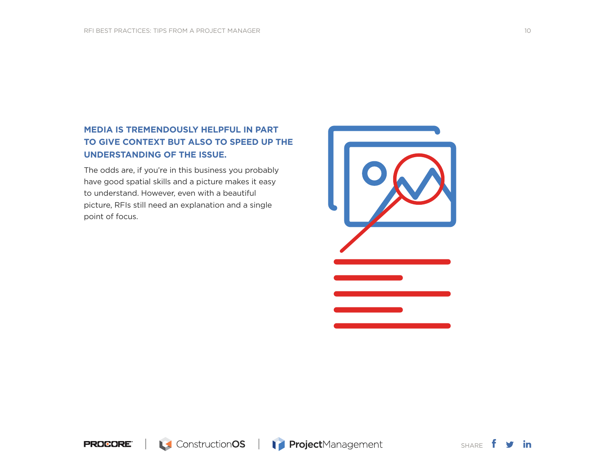## **MEDIA IS TREMENDOUSLY HELPFUL IN PART TO GIVE CONTEXT BUT ALSO TO SPEED UP THE UNDERSTANDING OF THE ISSUE.**

The odds are, if you're in this business you probably have good spatial skills and a picture makes it easy to understand. However, even with a beautiful picture, RFIs still need an explanation and a single point of focus.



**PROCORE®** 

SHARE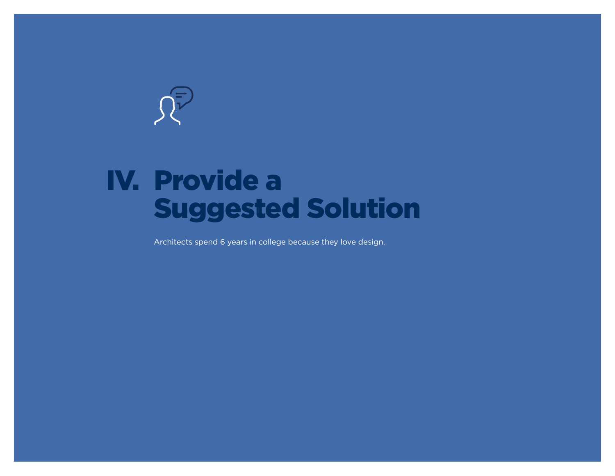<span id="page-10-0"></span>

# IV. Provide a Suggested Solution

Architects spend 6 years in college because they love design.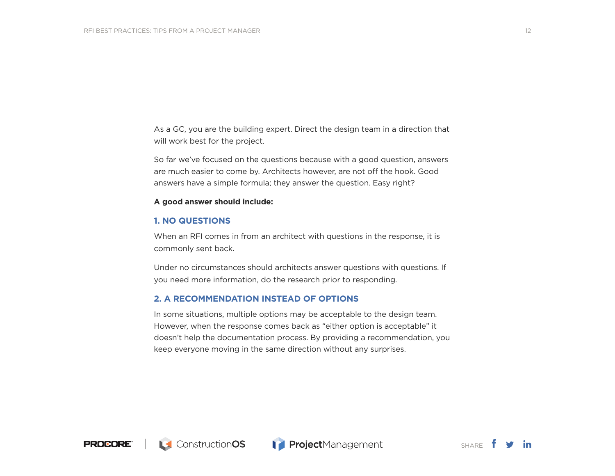As a GC, you are the building expert. Direct the design team in a direction that will work best for the project.

So far we've focused on the questions because with a good question, answers are much easier to come by. Architects however, are not off the hook. Good answers have a simple formula; they answer the question. Easy right?

#### **A good answer should include:**

#### **1. NO QUESTIONS**

When an RFI comes in from an architect with questions in the response, it is commonly sent back.

Under no circumstances should architects answer questions with questions. If you need more information, do the research prior to responding.

#### **2. A RECOMMENDATION INSTEAD OF OPTIONS**

In some situations, multiple options may be acceptable to the design team. However, when the response comes back as "either option is acceptable" it doesn't help the documentation process. By providing a recommendation, you keep everyone moving in the same direction without any surprises.



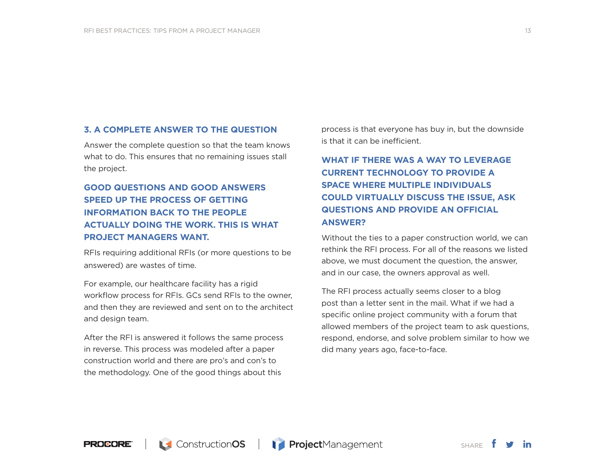#### **3. A COMPLETE ANSWER TO THE QUESTION**

Answer the complete question so that the team knows what to do. This ensures that no remaining issues stall the project.

### **GOOD QUESTIONS AND GOOD ANSWERS SPEED UP THE PROCESS OF GETTING INFORMATION BACK TO THE PEOPLE ACTUALLY DOING THE WORK. THIS IS WHAT PROJECT MANAGERS WANT.**

RFIs requiring additional RFIs (or more questions to be answered) are wastes of time.

For example, our healthcare facility has a rigid workflow process for RFIs. GCs send RFIs to the owner, and then they are reviewed and sent on to the architect and design team.

After the RFI is answered it follows the same process in reverse. This process was modeled after a paper construction world and there are pro's and con's to the methodology. One of the good things about this

process is that everyone has buy in, but the downside is that it can be inefficient.

## **WHAT IF THERE WAS A WAY TO LEVERAGE CURRENT TECHNOLOGY TO PROVIDE A SPACE WHERE MULTIPLE INDIVIDUALS COULD VIRTUALLY DISCUSS THE ISSUE, ASK QUESTIONS AND PROVIDE AN OFFICIAL ANSWER?**

Without the ties to a paper construction world, we can rethink the RFI process. For all of the reasons we listed above, we must document the question, the answer, and in our case, the owners approval as well.

The RFI process actually seems closer to a blog post than a letter sent in the mail. What if we had a specific online project community with a forum that allowed members of the project team to ask questions, respond, endorse, and solve problem similar to how we did many years ago, face-to-face.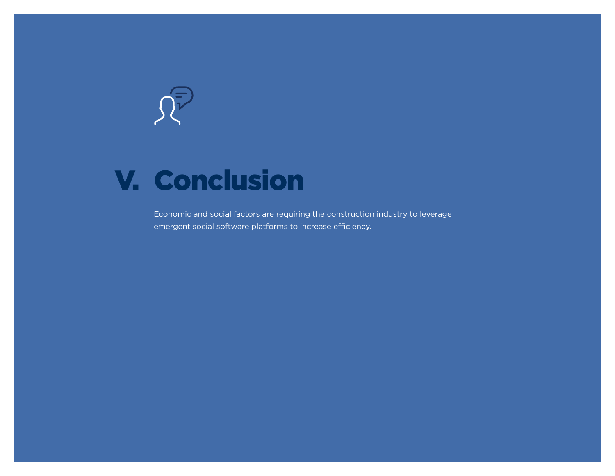<span id="page-13-0"></span>

# V. Conclusion

Economic and social factors are requiring the construction industry to leverage emergent social software platforms to increase efficiency.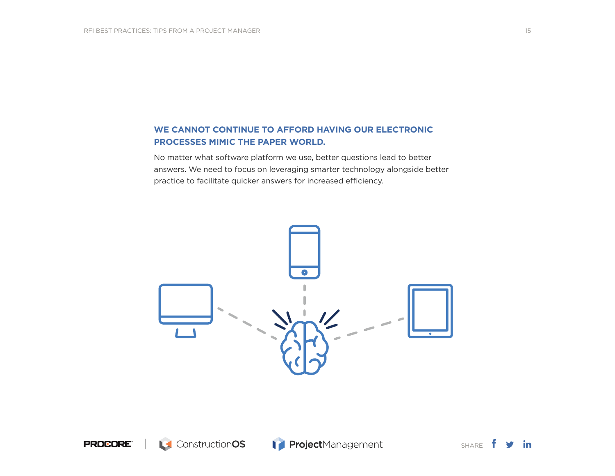### **WE CANNOT CONTINUE TO AFFORD HAVING OUR ELECTRONIC PROCESSES MIMIC THE PAPER WORLD.**

No matter what software platform we use, better questions lead to better answers. We need to focus on leveraging smarter technology alongside better practice to facilitate quicker answers for increased efficiency.